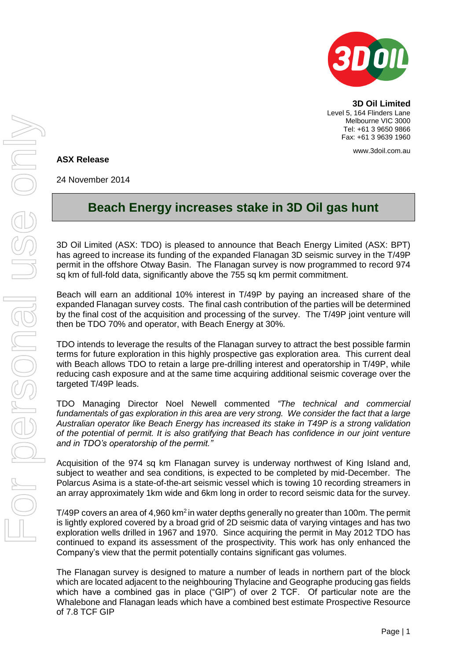

**3D Oil Limited** Level 5, 164 Flinders Lane Melbourne VIC 3000 Tel: +61 3 9650 9866 Fax: +61 3 9639 1960

www.3doil.com.au

## **ASX Release**

24 November 2014

## **Beach Energy increases stake in 3D Oil gas hunt**

3D Oil Limited (ASX: TDO) is pleased to announce that Beach Energy Limited (ASX: BPT) has agreed to increase its funding of the expanded Flanagan 3D seismic survey in the T/49P permit in the offshore Otway Basin. The Flanagan survey is now programmed to record 974 sq km of full-fold data, significantly above the 755 sq km permit commitment.

Beach will earn an additional 10% interest in T/49P by paying an increased share of the expanded Flanagan survey costs. The final cash contribution of the parties will be determined by the final cost of the acquisition and processing of the survey. The T/49P joint venture will then be TDO 70% and operator, with Beach Energy at 30%.

TDO intends to leverage the results of the Flanagan survey to attract the best possible farmin terms for future exploration in this highly prospective gas exploration area. This current deal with Beach allows TDO to retain a large pre-drilling interest and operatorship in T/49P, while reducing cash exposure and at the same time acquiring additional seismic coverage over the targeted T/49P leads.

TDO Managing Director Noel Newell commented *"The technical and commercial fundamentals of gas exploration in this area are very strong. We consider the fact that a large Australian operator like Beach Energy has increased its stake in T49P is a strong validation of the potential of permit. It is also gratifying that Beach has confidence in our joint venture and in TDO's operatorship of the permit."*

Acquisition of the 974 sq km Flanagan survey is underway northwest of King Island and, subject to weather and sea conditions, is expected to be completed by mid-December. The Polarcus Asima is a state-of-the-art seismic vessel which is towing 10 recording streamers in an array approximately 1km wide and 6km long in order to record seismic data for the survey.

 $T/49P$  covers an area of 4,960 km<sup>2</sup> in water depths generally no greater than 100m. The permit is lightly explored covered by a broad grid of 2D seismic data of varying vintages and has two exploration wells drilled in 1967 and 1970. Since acquiring the permit in May 2012 TDO has continued to expand its assessment of the prospectivity. This work has only enhanced the Company's view that the permit potentially contains significant gas volumes.

The Flanagan survey is designed to mature a number of leads in northern part of the block which are located adjacent to the neighbouring Thylacine and Geographe producing gas fields which have a combined gas in place ("GIP") of over 2 TCF. Of particular note are the Whalebone and Flanagan leads which have a combined best estimate Prospective Resource of 7.8 TCF GIP